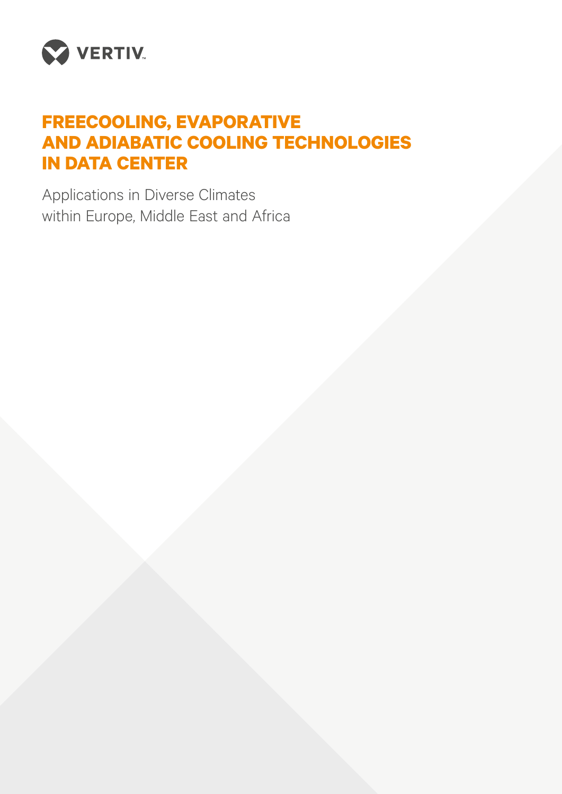

# **FREECOOLING, EVAPORATIVE AND ADIABATIC COOLING TECHNOLOGIES IN DATA CENTER**

Applications in Diverse Climates within Europe, Middle East and Africa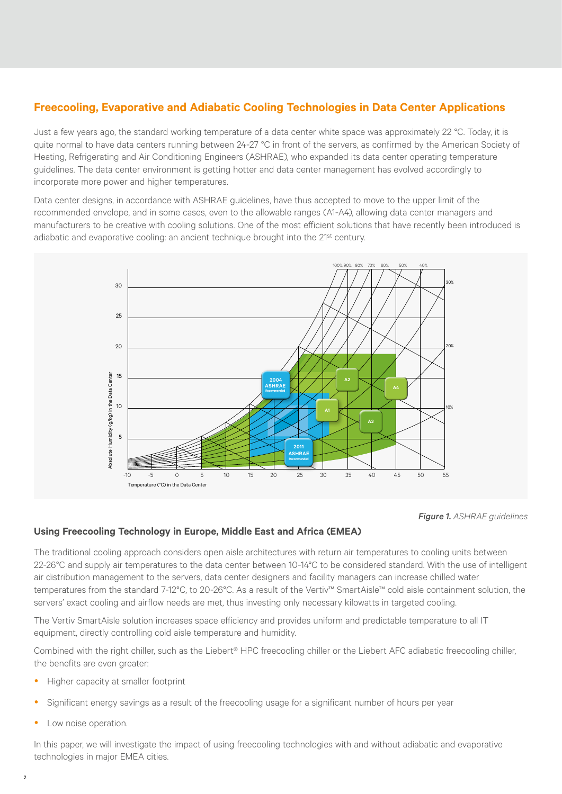# **Freecooling, Evaporative and Adiabatic Cooling Technologies in Data Center Applications**

Just a few years ago, the standard working temperature of a data center white space was approximately 22 °C. Today, it is quite normal to have data centers running between 24-27 °C in front of the servers, as confirmed by the American Society of Heating, Refrigerating and Air Conditioning Engineers (ASHRAE), who expanded its data center operating temperature guidelines. The data center environment is getting hotter and data center management has evolved accordingly to incorporate more power and higher temperatures.

Data center designs, in accordance with ASHRAE guidelines, have thus accepted to move to the upper limit of the recommended envelope, and in some cases, even to the allowable ranges (A1-A4), allowing data center managers and manufacturers to be creative with cooling solutions. One of the most efficient solutions that have recently been introduced is adiabatic and evaporative cooling: an ancient technique brought into the 21<sup>st</sup> century.



*Figure 1. ASHRAE guidelines*

#### **Using Freecooling Technology in Europe, Middle East and Africa (EMEA)**

The traditional cooling approach considers open aisle architectures with return air temperatures to cooling units between 22-26°C and supply air temperatures to the data center between 10-14°C to be considered standard. With the use of intelligent air distribution management to the servers, data center designers and facility managers can increase chilled water temperatures from the standard 7-12°C, to 20-26°C. As a result of the Vertiv™ SmartAisle™ cold aisle containment solution, the servers' exact cooling and airflow needs are met, thus investing only necessary kilowatts in targeted cooling.

The Vertiv SmartAisle solution increases space efficiency and provides uniform and predictable temperature to all IT equipment, directly controlling cold aisle temperature and humidity.

Combined with the right chiller, such as the Liebert® HPC freecooling chiller or the Liebert AFC adiabatic freecooling chiller, the benefits are even greater:

- Higher capacity at smaller footprint
- Significant energy savings as a result of the freecooling usage for a significant number of hours per year
- Low noise operation.

In this paper, we will investigate the impact of using freecooling technologies with and without adiabatic and evaporative technologies in major EMEA cities.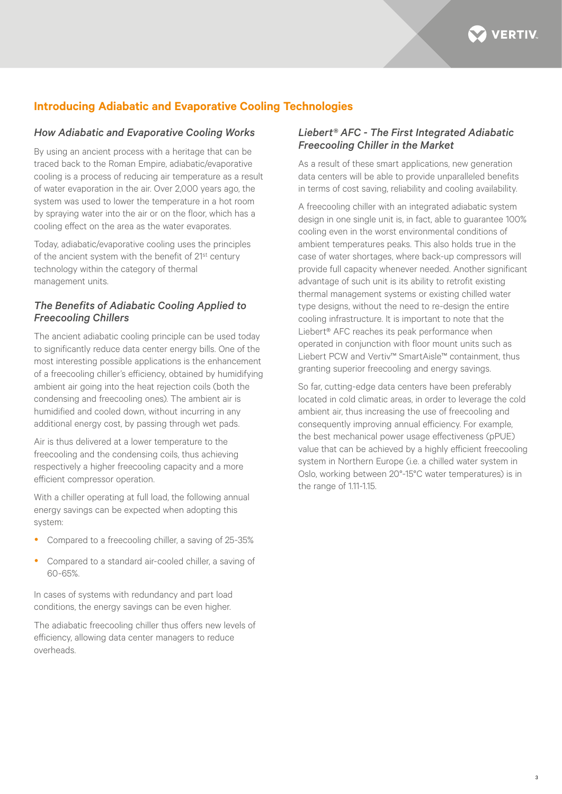

# **Introducing Adiabatic and Evaporative Cooling Technologies**

#### *How Adiabatic and Evaporative Cooling Works*

By using an ancient process with a heritage that can be traced back to the Roman Empire, adiabatic/evaporative cooling is a process of reducing air temperature as a result of water evaporation in the air. Over 2,000 years ago, the system was used to lower the temperature in a hot room by spraying water into the air or on the floor, which has a cooling effect on the area as the water evaporates.

Today, adiabatic/evaporative cooling uses the principles of the ancient system with the benefit of 21st century technology within the category of thermal management units.

## *The Benefits of Adiabatic Cooling Applied to Freecooling Chillers*

The ancient adiabatic cooling principle can be used today to significantly reduce data center energy bills. One of the most interesting possible applications is the enhancement of a freecooling chiller's efficiency, obtained by humidifying ambient air going into the heat rejection coils (both the condensing and freecooling ones). The ambient air is humidified and cooled down, without incurring in any additional energy cost, by passing through wet pads.

Air is thus delivered at a lower temperature to the freecooling and the condensing coils, thus achieving respectively a higher freecooling capacity and a more efficient compressor operation.

With a chiller operating at full load, the following annual energy savings can be expected when adopting this system:

- Compared to a freecooling chiller, a saving of 25-35%
- Compared to a standard air-cooled chiller, a saving of 60-65%.

In cases of systems with redundancy and part load conditions, the energy savings can be even higher.

The adiabatic freecooling chiller thus offers new levels of efficiency, allowing data center managers to reduce overheads.

## *Liebert® AFC - The First Integrated Adiabatic Freecooling Chiller in the Market*

As a result of these smart applications, new generation data centers will be able to provide unparalleled benefits in terms of cost saving, reliability and cooling availability.

A freecooling chiller with an integrated adiabatic system design in one single unit is, in fact, able to guarantee 100% cooling even in the worst environmental conditions of ambient temperatures peaks. This also holds true in the case of water shortages, where back-up compressors will provide full capacity whenever needed. Another significant advantage of such unit is its ability to retrofit existing thermal management systems or existing chilled water type designs, without the need to re-design the entire cooling infrastructure. It is important to note that the Liebert® AFC reaches its peak performance when operated in conjunction with floor mount units such as Liebert PCW and Vertiv™ SmartAisle™ containment, thus granting superior freecooling and energy savings.

So far, cutting-edge data centers have been preferably located in cold climatic areas, in order to leverage the cold ambient air, thus increasing the use of freecooling and consequently improving annual efficiency. For example, the best mechanical power usage effectiveness (pPUE) value that can be achieved by a highly efficient freecooling system in Northern Europe (i.e. a chilled water system in Oslo, working between 20°-15°C water temperatures) is in the range of 1.11-1.15.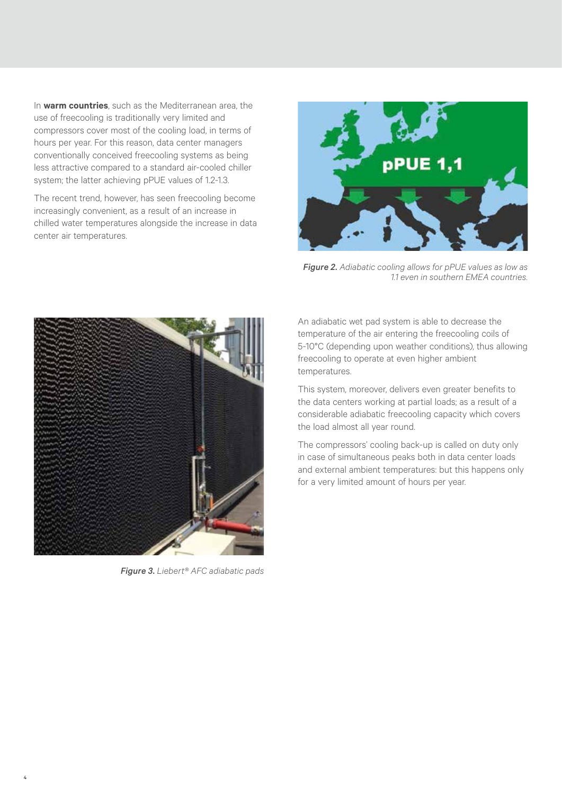In **warm countries**, such as the Mediterranean area, the use of freecooling is traditionally very limited and compressors cover most of the cooling load, in terms of hours per year. For this reason, data center managers conventionally conceived freecooling systems as being less attractive compared to a standard air-cooled chiller system; the latter achieving pPUE values of 1.2-1.3.

The recent trend, however, has seen freecooling become increasingly convenient, as a result of an increase in chilled water temperatures alongside the increase in data center air temperatures.



*Figure 2. Adiabatic cooling allows for pPUE values as low as 1.1 even in southern EMEA countries.*



*Figure 3. Liebert® AFC adiabatic pads*

An adiabatic wet pad system is able to decrease the temperature of the air entering the freecooling coils of 5-10°C (depending upon weather conditions), thus allowing freecooling to operate at even higher ambient temperatures.

This system, moreover, delivers even greater benefits to the data centers working at partial loads; as a result of a considerable adiabatic freecooling capacity which covers the load almost all year round.

The compressors' cooling back-up is called on duty only in case of simultaneous peaks both in data center loads and external ambient temperatures: but this happens only for a very limited amount of hours per year.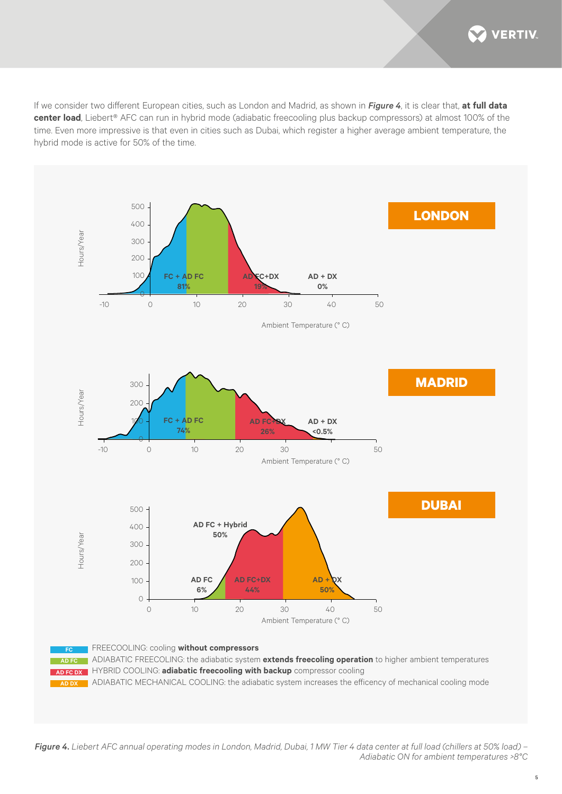**VERTIV** 

If we consider two different European cities, such as London and Madrid, as shown in *Figure 4*, it is clear that, **at full data center load**, Liebert® AFC can run in hybrid mode (adiabatic freecooling plus backup compressors) at almost 100% of the time. Even more impressive is that even in cities such as Dubai, which register a higher average ambient temperature, the hybrid mode is active for 50% of the time.



*Figure 4. Liebert AFC annual operating modes in London, Madrid, Dubai, 1 MW Tier 4 data center at full load (chillers at 50% load) – Adiabatic ON for ambient temperatures >8°C*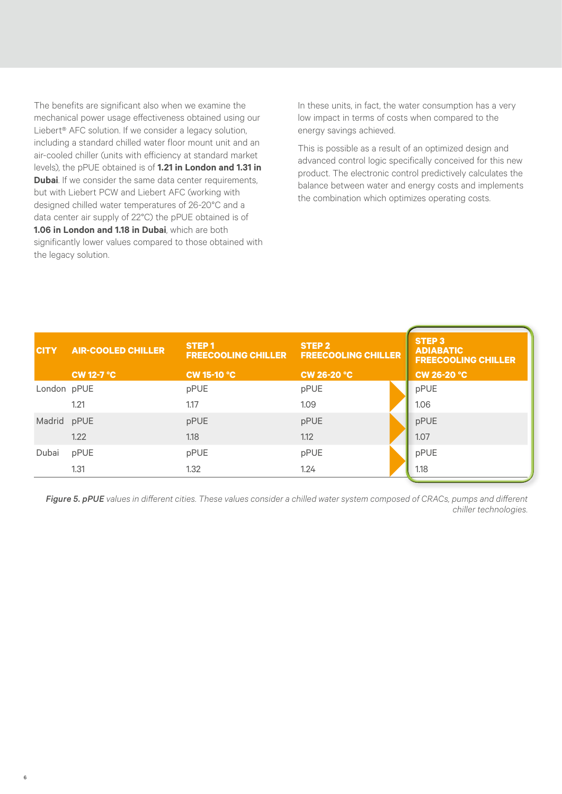The benefits are significant also when we examine the mechanical power usage effectiveness obtained using our Liebert® AFC solution. If we consider a legacy solution, including a standard chilled water floor mount unit and an air-cooled chiller (units with efficiency at standard market levels), the pPUE obtained is of **1.21 in London and 1.31 in Dubai**. If we consider the same data center requirements, but with Liebert PCW and Liebert AFC (working with designed chilled water temperatures of 26-20°C and a data center air supply of 22°C) the pPUE obtained is of **1.06 in London and 1.18 in Dubai**, which are both significantly lower values compared to those obtained with the legacy solution.

6

In these units, in fact, the water consumption has a very low impact in terms of costs when compared to the energy savings achieved.

This is possible as a result of an optimized design and advanced control logic specifically conceived for this new product. The electronic control predictively calculates the balance between water and energy costs and implements the combination which optimizes operating costs.

| <b>CITY</b> | <b>AIR-COOLED CHILLER</b> | STEP <sub>1</sub><br><b>FREECOOLING CHILLER</b> | STEP <sub>2</sub><br><b>FREECOOLING CHILLER</b> | <b>STEP 3</b><br><b>ADIABATIC</b><br><b>FREECOOLING CHILLER</b> |
|-------------|---------------------------|-------------------------------------------------|-------------------------------------------------|-----------------------------------------------------------------|
|             | <b>CW 12-7 °C</b>         | <b>CW 15-10 °C</b>                              | <b>CW 26-20 °C</b>                              | <b>CW 26-20 °C</b>                                              |
| London pPUE |                           | pPUE                                            | pPUE                                            | pPUE                                                            |
|             | 1.21                      | 1.17                                            | 1.09                                            | 1.06                                                            |
| Madrid pPUE |                           | pPUE                                            | pPUE                                            | pPUE                                                            |
|             | 1.22                      | 1.18                                            | 1.12                                            | 1.07                                                            |
| Dubai       | pPUE                      | pPUE                                            | pPUE                                            | pPUE                                                            |
|             | 1.31                      | 1.32                                            | 1.24                                            | 1.18                                                            |

*Figure 5. pPUE values in different cities. These values consider a chilled water system composed of CRACs, pumps and different chiller technologies.*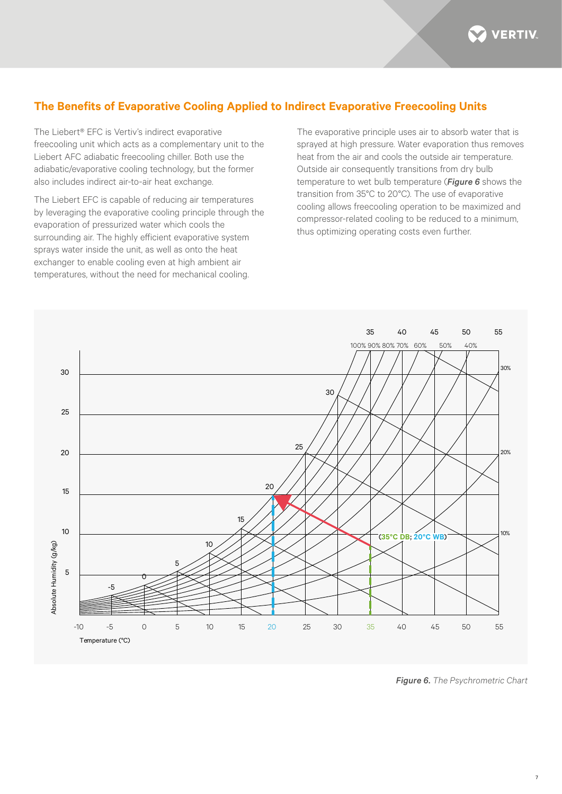**VERTIV** 

# **The Benefits of Evaporative Cooling Applied to Indirect Evaporative Freecooling Units**

The Liebert® EFC is Vertiv's indirect evaporative freecooling unit which acts as a complementary unit to the Liebert AFC adiabatic freecooling chiller. Both use the adiabatic/evaporative cooling technology, but the former also includes indirect air-to-air heat exchange.

The Liebert EFC is capable of reducing air temperatures by leveraging the evaporative cooling principle through the evaporation of pressurized water which cools the surrounding air. The highly efficient evaporative system sprays water inside the unit, as well as onto the heat exchanger to enable cooling even at high ambient air temperatures, without the need for mechanical cooling.

The evaporative principle uses air to absorb water that is sprayed at high pressure. Water evaporation thus removes heat from the air and cools the outside air temperature. Outside air consequently transitions from dry bulb temperature to wet bulb temperature (*Figure 6* shows the transition from 35°C to 20°C). The use of evaporative cooling allows freecooling operation to be maximized and compressor-related cooling to be reduced to a minimum, thus optimizing operating costs even further.



*Figure 6. The Psychrometric Chart*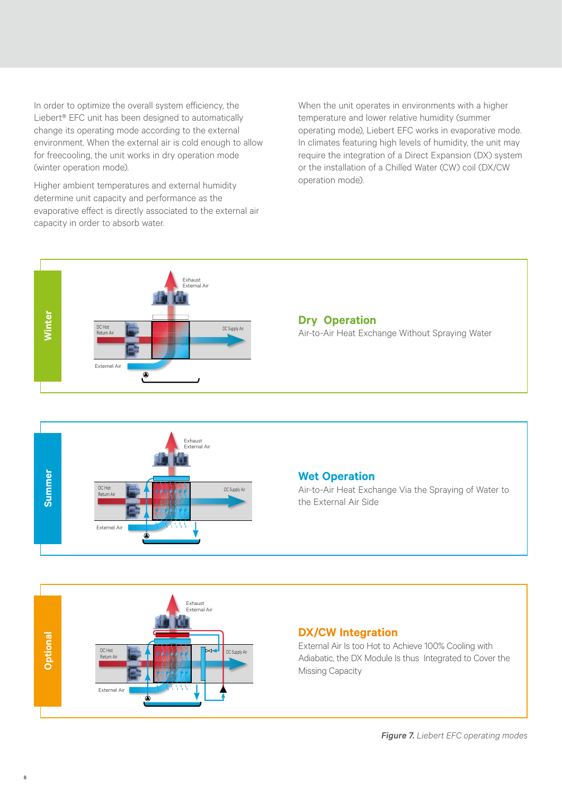In order to optimize the overall system efficiency, the Liebert® EFC unit has been designed to automatically change its operating mode according to the external environment. When the external air is cold enough to allow for freecooling, the unit works in dry operation mode (winter operation mode).

Higher ambient temperatures and external humidity determine unit capacity and performance as the evaporative effect is directly associated to the external air capacity in order to absorb water.

When the unit operates in environments with a higher temperature and lower relative humidity (summer operating mode), Liebert EFC works in evaporative mode. In climates featuring high levels of humidity, the unit may require the integration of a Direct Expansion (DX) system or the installation of a Chilled Water (CW) coil (DX/CW operation mode).





#### **Wet Operation**

Air-to-Air Heat Exchange Via the Spraying of Water to the External Air Side



## **DX/CW Integration**

External Air Is too Hot to Achieve 100% Cooling with Adiabatic, the DX Module Is thus Integrated to Cover the Missing Capacity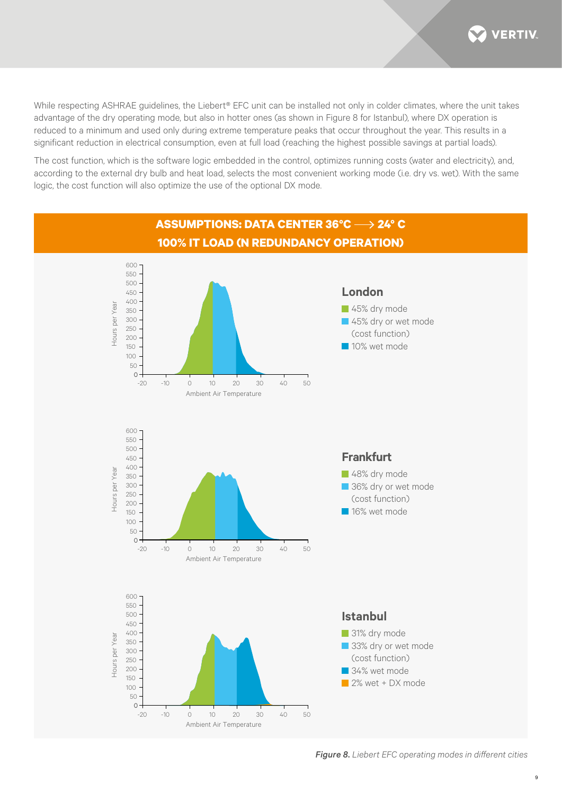**VERTIV** 

While respecting ASHRAE guidelines, the Liebert<sup>®</sup> EFC unit can be installed not only in colder climates, where the unit takes advantage of the dry operating mode, but also in hotter ones (as shown in Figure 8 for Istanbul), where DX operation is reduced to a minimum and used only during extreme temperature peaks that occur throughout the year. This results in a significant reduction in electrical consumption, even at full load (reaching the highest possible savings at partial loads).

The cost function, which is the software logic embedded in the control, optimizes running costs (water and electricity), and, according to the external dry bulb and heat load, selects the most convenient working mode (i.e. dry vs. wet). With the same logic, the cost function will also optimize the use of the optional DX mode.

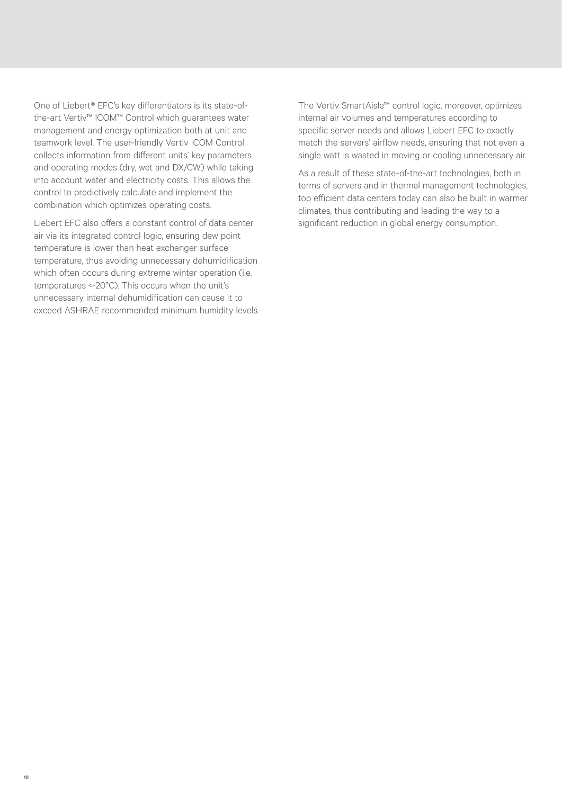One of Liebert® EFC's key differentiators is its state-ofthe-art Vertiv™ ICOM™ Control which guarantees water management and energy optimization both at unit and teamwork level. The user-friendly Vertiv ICOM Control collects information from different units' key parameters and operating modes (dry, wet and DX/CW) while taking into account water and electricity costs. This allows the control to predictively calculate and implement the combination which optimizes operating costs.

Liebert EFC also offers a constant control of data center air via its integrated control logic, ensuring dew point temperature is lower than heat exchanger surface temperature, thus avoiding unnecessary dehumidification which often occurs during extreme winter operation (i.e. temperatures <-20°C). This occurs when the unit's unnecessary internal dehumidification can cause it to exceed ASHRAE recommended minimum humidity levels. The Vertiv SmartAisle™ control logic, moreover, optimizes internal air volumes and temperatures according to specific server needs and allows Liebert EFC to exactly match the servers' airflow needs, ensuring that not even a single watt is wasted in moving or cooling unnecessary air.

As a result of these state-of-the-art technologies, both in terms of servers and in thermal management technologies, top efficient data centers today can also be built in warmer climates, thus contributing and leading the way to a significant reduction in global energy consumption.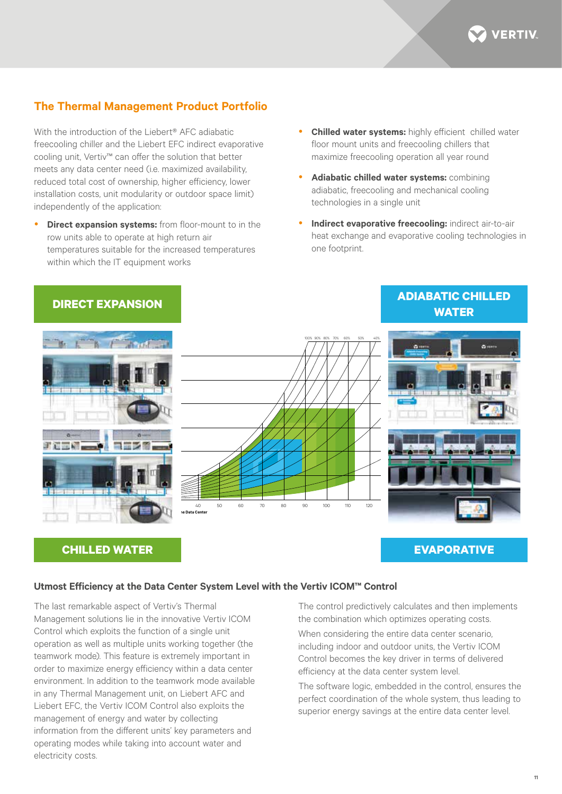

# **The Thermal Management Product Portfolio**

With the introduction of the Liebert® AFC adiabatic freecooling chiller and the Liebert EFC indirect evaporative cooling unit, Vertiv™ can offer the solution that better meets any data center need (i.e. maximized availability, reduced total cost of ownership, higher efficiency, lower installation costs, unit modularity or outdoor space limit) independently of the application:

- **Direct expansion systems:** from floor-mount to in the row units able to operate at high return air temperatures suitable for the increased temperatures within which the IT equipment works
- **Chilled water systems:** highly efficient chilled water floor mount units and freecooling chillers that maximize freecooling operation all year round
- Adiabatic chilled water systems: combining adiabatic, freecooling and mechanical cooling technologies in a single unit
- Indirect evaporative freecooling: indirect air-to-air heat exchange and evaporative cooling technologies in one footprint.



## **CHILLED WATER**

## **EVAPORATIVE**

#### **Utmost Efficiency at the Data Center System Level with the Vertiv ICOM™ Control**

The last remarkable aspect of Vertiv's Thermal Management solutions lie in the innovative Vertiv ICOM Control which exploits the function of a single unit operation as well as multiple units working together (the teamwork mode). This feature is extremely important in order to maximize energy efficiency within a data center environment. In addition to the teamwork mode available in any Thermal Management unit, on Liebert AFC and Liebert EFC, the Vertiv ICOM Control also exploits the management of energy and water by collecting information from the different units' key parameters and operating modes while taking into account water and electricity costs.

The control predictively calculates and then implements the combination which optimizes operating costs.

When considering the entire data center scenario, including indoor and outdoor units, the Vertiv ICOM Control becomes the key driver in terms of delivered efficiency at the data center system level.

The software logic, embedded in the control, ensures the perfect coordination of the whole system, thus leading to superior energy savings at the entire data center level.